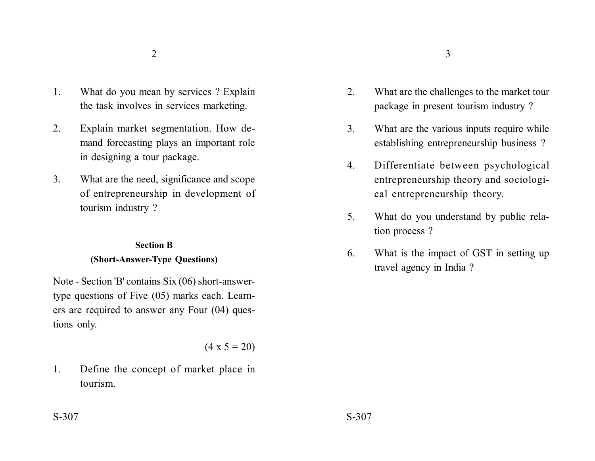- 1. What do you mean by services ? Explain the task involves in services marketing.
- 2. Explain market segmentation. How demand forecasting plays an important role in designing a tour package.
- 3. What are the need, significance and scope of entrepreneurship in development of tourism industry ?

## **Section B (Short-Answer-Type Questions)**

Note - Section 'B' contains Six (06) short-answertype questions of Five (05) marks each. Learners are required to answer any Four (04) questions only.

$$
(4 \times 5 = 20)
$$

1. Define the concept of market place in tourism.

- 2. What are the challenges to the market tour package in present tourism industry ?
- 3. What are the various inputs require while establishing entrepreneurship business ?
- 4. Differentiate between psychological entrepreneurship theory and sociological entrepreneurship theory.
- 5. What do you understand by public relation process ?
- 6. What is the impact of GST in setting up travel agency in India ?